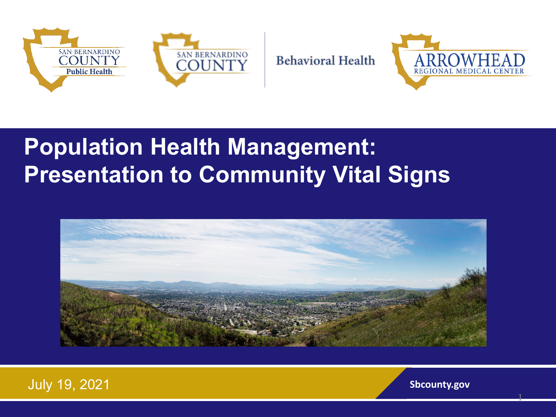

ARROWE REGIONAL MEDICAL

# **Population Health Management: Presentation to Community Vital Signs**



**Behavioral Health** 



1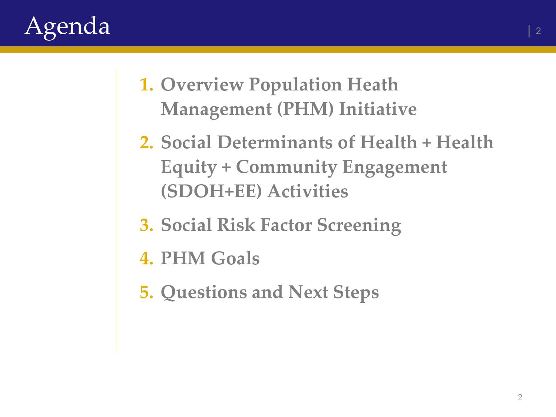

- **1. Overview Population Heath Management (PHM) Initiative**
- **2. Social Determinants of Health + Health Equity + Community Engagement (SDOH+EE) Activities**
- **3. Social Risk Factor Screening**
- **4. PHM Goals**
- **5. Questions and Next Steps**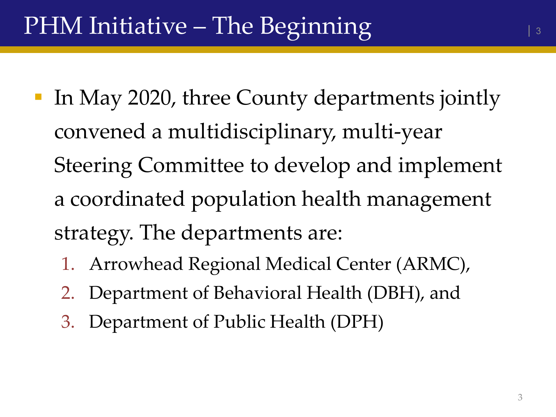- In May 2020, three County departments jointly convened a multidisciplinary, multi-year Steering Committee to develop and implement a coordinated population health management strategy. The departments are:
	- 1. Arrowhead Regional Medical Center (ARMC),
	- 2. Department of Behavioral Health (DBH), and
	- 3. Department of Public Health (DPH)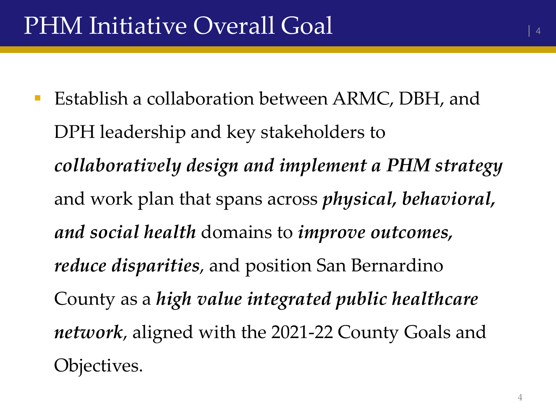**Establish a collaboration between ARMC, DBH, and** DPH leadership and key stakeholders to *collaboratively design and implement a PHM strategy*  and work plan that spans across *physical, behavioral, and social health* domains to *improve outcomes, reduce disparities*, and position San Bernardino County as a *high value integrated public healthcare network*, aligned with the 2021-22 County Goals and Objectives.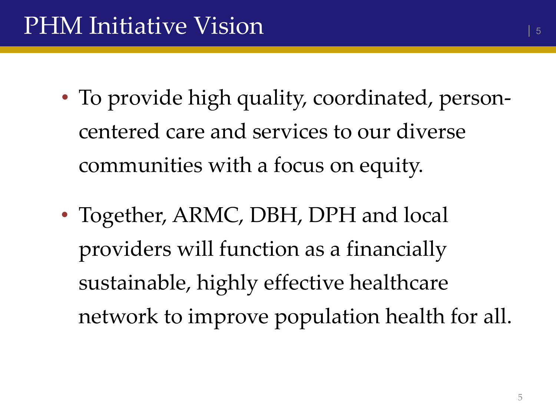- To provide high quality, coordinated, personcentered care and services to our diverse communities with a focus on equity.
- Together, ARMC, DBH, DPH and local providers will function as a financially sustainable, highly effective healthcare network to improve population health for all.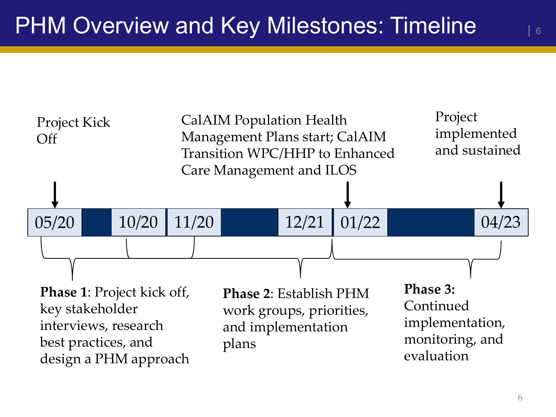

| 6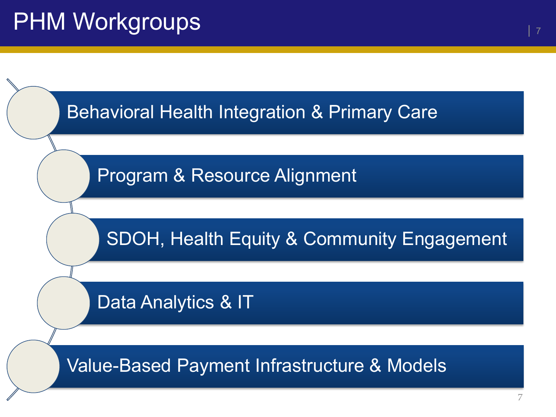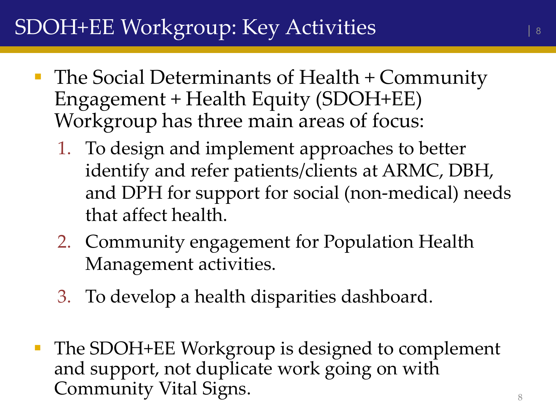## SDOH+EE Workgroup: Key Activities

- **The Social Determinants of Health + Community** Engagement + Health Equity (SDOH+EE) Workgroup has three main areas of focus:
	- 1. To design and implement approaches to better identify and refer patients/clients at ARMC, DBH, and DPH for support for social (non-medical) needs that affect health.
	- 2. Community engagement for Population Health Management activities.
	- 3. To develop a health disparities dashboard.
- The SDOH+EE Workgroup is designed to complement and support, not duplicate work going on with Community Vital Signs.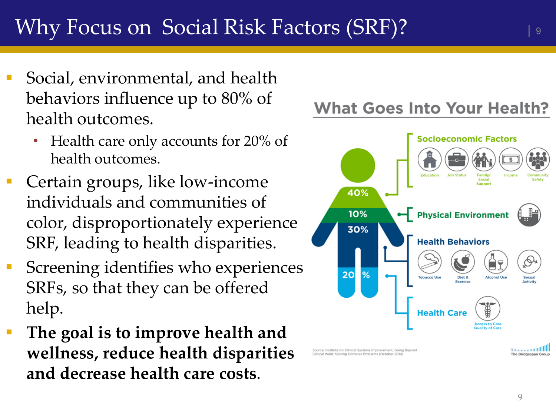- Social, environmental, and health behaviors influence up to 80% of health outcomes.
	- Health care only accounts for 20% of health outcomes.
- Certain groups, like low-income individuals and communities of color, disproportionately experience SRF, leading to health disparities.
- Screening identifies who experiences SRFs, so that they can be offered help.
- **The goal is to improve health and wellness, reduce health disparities and decrease health care costs**.

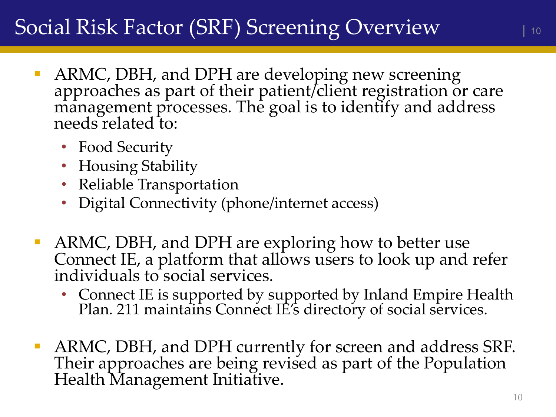### Social Risk Factor (SRF) Screening Overview

- ARMC, DBH, and DPH are developing new screening approaches as part of their patient/client registration or care management processes. The goal is to identify and address needs related to:
	- Food Security
	- Housing Stability
	- Reliable Transportation
	- Digital Connectivity (phone/internet access)
- ARMC, DBH, and DPH are exploring how to better use Connect IE, a platform that allows users to look up and refer individuals to social services.
	- Connect IE is supported by supported by Inland Empire Health Plan. 211 maintains Connect IE's directory of social services.
- ARMC, DBH, and DPH currently for screen and address SRF. Their approaches are being revised as part of the Population Health Management Initiative.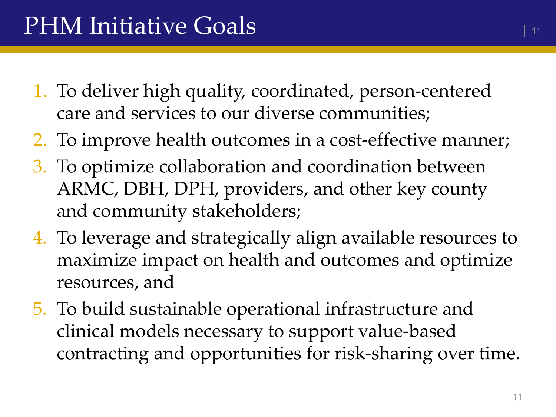- 1. To deliver high quality, coordinated, person-centered care and services to our diverse communities;
- 2. To improve health outcomes in a cost-effective manner;
- 3. To optimize collaboration and coordination between ARMC, DBH, DPH, providers, and other key county and community stakeholders;
- 4. To leverage and strategically align available resources to maximize impact on health and outcomes and optimize resources, and
- 5. To build sustainable operational infrastructure and clinical models necessary to support value-based contracting and opportunities for risk-sharing over time.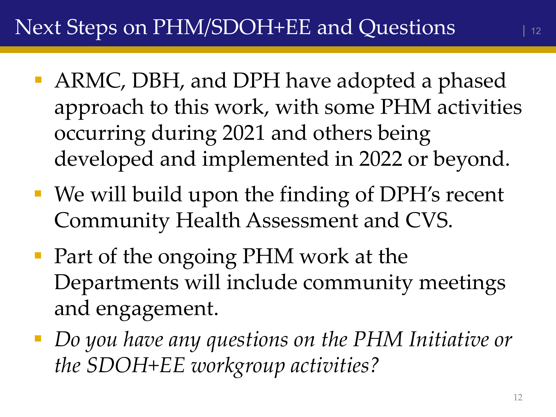- ARMC, DBH, and DPH have adopted a phased approach to this work, with some PHM activities occurring during 2021 and others being developed and implemented in 2022 or beyond.
- We will build upon the finding of DPH's recent Community Health Assessment and CVS.
- Part of the ongoing PHM work at the Departments will include community meetings and engagement.
- *Do you have any questions on the PHM Initiative or the SDOH+EE workgroup activities?*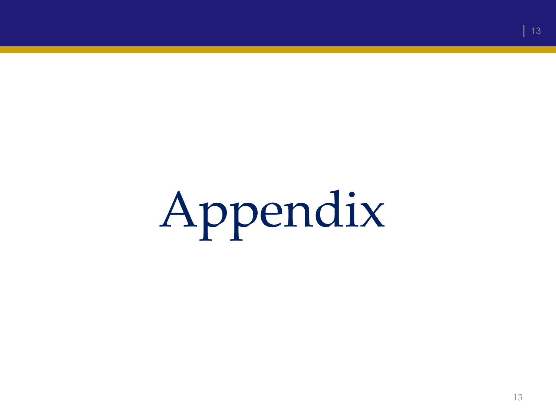# Appendix

| 13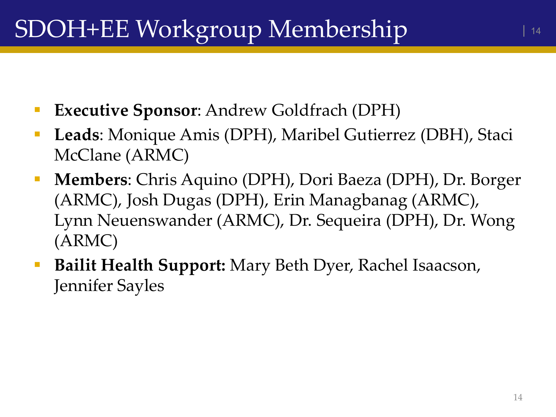- **Executive Sponsor**: Andrew Goldfrach (DPH)
- **Leads**: Monique Amis (DPH), Maribel Gutierrez (DBH), Staci McClane (ARMC)
- **Members**: Chris Aquino (DPH), Dori Baeza (DPH), Dr. Borger (ARMC), Josh Dugas (DPH), Erin Managbanag (ARMC), Lynn Neuenswander (ARMC), Dr. Sequeira (DPH), Dr. Wong (ARMC)
- **Bailit Health Support:** Mary Beth Dyer, Rachel Isaacson, Jennifer Sayles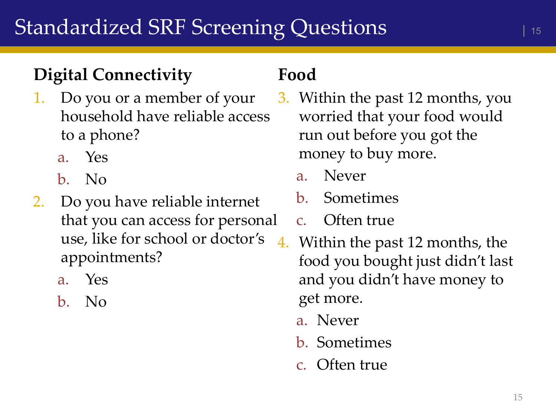#### **Digital Connectivity**

- 1. Do you or a member of your household have reliable access to a phone?
	- a. Yes
	- b. No
- 2. Do you have reliable internet that you can access for personal use, like for school or doctor's appointments?
	- a. Yes
	- b. No

#### **Food**

- 3. Within the past 12 months, you worried that your food would run out before you got the money to buy more.
	- a. Never
	- b. Sometimes
	- c. Often true
- 4. Within the past 12 months, the food you bought just didn't last and you didn't have money to get more.
	- a. Never
	- b. Sometimes
	- c. Often true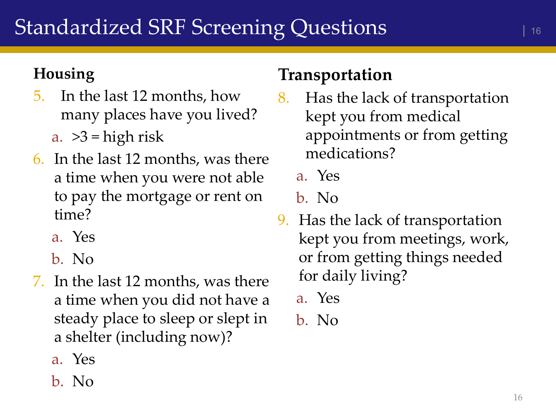#### **Housing**

- 5. In the last 12 months, how many places have you lived?
	- a.  $>3$  = high risk
- 6. In the last 12 months, was there a time when you were not able to pay the mortgage or rent on time?
	- a. Yes
	- b. No
- 7. In the last 12 months, was there a time when you did not have a steady place to sleep or slept in a shelter (including now)?
	- a. Yes
	- b. No

#### **Transportation**

- 8. Has the lack of transportation kept you from medical appointments or from getting medications?
	- a. Yes

#### b. No

- 9. Has the lack of transportation kept you from meetings, work, or from getting things needed for daily living?
	- a. Yes
	- b. No